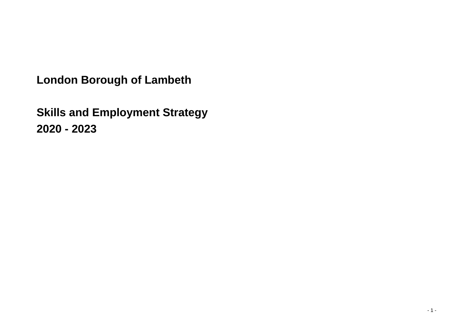**London Borough of Lambeth**

**Skills and Employment Strategy 2020 - 2023**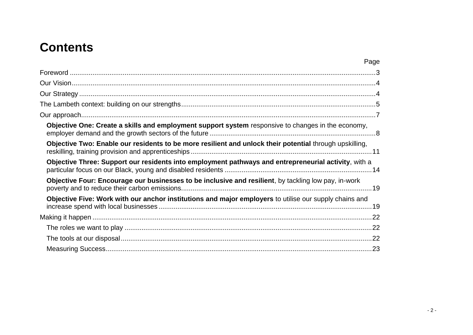# **Contents**

| Page                                                                                                    |
|---------------------------------------------------------------------------------------------------------|
|                                                                                                         |
|                                                                                                         |
|                                                                                                         |
|                                                                                                         |
|                                                                                                         |
| Objective One: Create a skills and employment support system responsive to changes in the economy,      |
| Objective Two: Enable our residents to be more resilient and unlock their potential through upskilling, |
| Objective Three: Support our residents into employment pathways and entrepreneurial activity, with a    |
| Objective Four: Encourage our businesses to be inclusive and resilient, by tackling low pay, in-work    |
| Objective Five: Work with our anchor institutions and major employers to utilise our supply chains and  |
|                                                                                                         |
|                                                                                                         |
|                                                                                                         |
|                                                                                                         |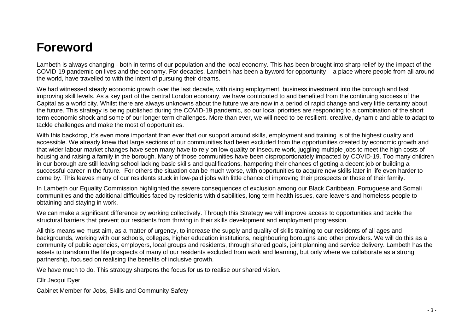## <span id="page-2-0"></span>**Foreword**

Lambeth is always changing - both in terms of our population and the local economy. This has been brought into sharp relief by the impact of the COVID-19 pandemic on lives and the economy. For decades, Lambeth has been a byword for opportunity – a place where people from all around the world, have travelled to with the intent of pursuing their dreams.

We had witnessed steady economic growth over the last decade, with rising employment, business investment into the borough and fast improving skill levels. As a key part of the central London economy, we have contributed to and benefited from the continuing success of the Capital as a world city. Whilst there are always unknowns about the future we are now in a period of rapid change and very little certainty about the future. This strategy is being published during the COVID-19 pandemic, so our local priorities are responding to a combination of the short term economic shock and some of our longer term challenges. More than ever, we will need to be resilient, creative, dynamic and able to adapt to tackle challenges and make the most of opportunities.

With this backdrop, it's even more important than ever that our support around skills, employment and training is of the highest quality and accessible. We already knew that large sections of our communities had been excluded from the opportunities created by economic growth and that wider labour market changes have seen many have to rely on low quality or insecure work, juggling multiple jobs to meet the high costs of housing and raising a family in the borough. Many of those communities have been disproportionately impacted by COVID-19. Too many children in our borough are still leaving school lacking basic skills and qualifications, hampering their chances of getting a decent job or building a successful career in the future. For others the situation can be much worse, with opportunities to acquire new skills later in life even harder to come by. This leaves many of our residents stuck in low-paid jobs with little chance of improving their prospects or those of their family.

In Lambeth our Equality Commission highlighted the severe consequences of exclusion among our Black Caribbean, Portuguese and Somali communities and the additional difficulties faced by residents with disabilities, long term health issues, care leavers and homeless people to obtaining and staying in work.

We can make a significant difference by working collectively. Through this Strategy we will improve access to opportunities and tackle the structural barriers that prevent our residents from thriving in their skills development and employment progression.

All this means we must aim, as a matter of urgency, to increase the supply and quality of skills training to our residents of all ages and backgrounds, working with our schools, colleges, higher education institutions, neighbouring boroughs and other providers. We will do this as a community of public agencies, employers, local groups and residents, through shared goals, joint planning and service delivery. Lambeth has the assets to transform the life prospects of many of our residents excluded from work and learning, but only where we collaborate as a strong partnership, focused on realising the benefits of inclusive growth.

We have much to do. This strategy sharpens the focus for us to realise our shared vision.

Cllr Jacqui Dyer

Cabinet Member for Jobs, Skills and Community Safety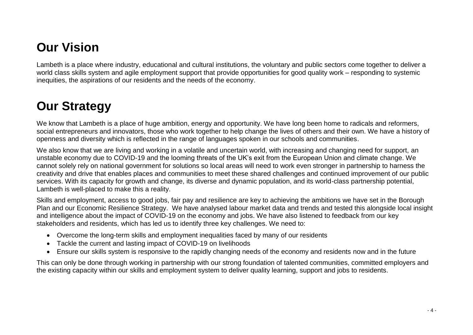# <span id="page-3-0"></span>**Our Vision**

Lambeth is a place where industry, educational and cultural institutions, the voluntary and public sectors come together to deliver a world class skills system and agile employment support that provide opportunities for good quality work – responding to systemic inequities, the aspirations of our residents and the needs of the economy.

# <span id="page-3-1"></span>**Our Strategy**

We know that Lambeth is a place of huge ambition, energy and opportunity. We have long been home to radicals and reformers, social entrepreneurs and innovators, those who work together to help change the lives of others and their own. We have a history of openness and diversity which is reflected in the range of languages spoken in our schools and communities.

We also know that we are living and working in a volatile and uncertain world, with increasing and changing need for support, an unstable economy due to COVID-19 and the looming threats of the UK's exit from the European Union and climate change. We cannot solely rely on national government for solutions so local areas will need to work even stronger in partnership to harness the creativity and drive that enables places and communities to meet these shared challenges and continued improvement of our public services. With its capacity for growth and change, its diverse and dynamic population, and its world-class partnership potential, Lambeth is well-placed to make this a reality.

Skills and employment, access to good jobs, fair pay and resilience are key to achieving the ambitions we have set in the Borough Plan and our Economic Resilience Strategy. We have analysed labour market data and trends and tested this alongside local insight and intelligence about the impact of COVID-19 on the economy and jobs. We have also listened to feedback from our key stakeholders and residents, which has led us to identify three key challenges. We need to:

- Overcome the long-term skills and employment inequalities faced by many of our residents
- Tackle the current and lasting impact of COVID-19 on livelihoods
- Ensure our skills system is responsive to the rapidly changing needs of the economy and residents now and in the future

This can only be done through working in partnership with our strong foundation of talented communities, committed employers and the existing capacity within our skills and employment system to deliver quality learning, support and jobs to residents.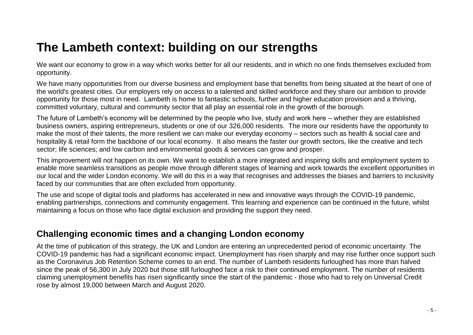# <span id="page-4-0"></span>**The Lambeth context: building on our strengths**

We want our economy to grow in a way which works better for all our residents, and in which no one finds themselves excluded from opportunity.

We have many opportunities from our diverse business and employment base that benefits from being situated at the heart of one of the world's greatest cities. Our employers rely on access to a talented and skilled workforce and they share our ambition to provide opportunity for those most in need. Lambeth is home to fantastic schools, further and higher education provision and a thriving, committed voluntary, cultural and community sector that all play an essential role in the growth of the borough.

The future of Lambeth's economy will be determined by the people who live, study and work here – whether they are established business owners, aspiring entrepreneurs, students or one of our 326,000 residents. The more our residents have the opportunity to make the most of their talents, the more resilient we can make our everyday economy – sectors such as health & social care and hospitality & retail form the backbone of our local economy. It also means the faster our growth sectors, like the creative and tech sector; life sciences; and low carbon and environmental goods & services can grow and prosper.

This improvement will not happen on its own. We want to establish a more integrated and inspiring skills and employment system to enable more seamless transitions as people move through different stages of learning and work towards the excellent opportunities in our local and the wider London economy. We will do this in a way that recognises and addresses the biases and barriers to inclusivity faced by our communities that are often excluded from opportunity.

The use and scope of digital tools and platforms has accelerated in new and innovative ways through the COVID-19 pandemic, enabling partnerships, connections and community engagement. This learning and experience can be continued in the future, whilst maintaining a focus on those who face digital exclusion and providing the support they need.

### **Challenging economic times and a changing London economy**

At the time of publication of this strategy, the UK and London are entering an unprecedented period of economic uncertainty. The COVID-19 pandemic has had a significant economic impact. Unemployment has risen sharply and may rise further once support such as the Coronavirus Job Retention Scheme comes to an end. The number of Lambeth residents furloughed has more than halved since the peak of 56,300 in July 2020 but those still furloughed face a risk to their continued employment. The number of residents claiming unemployment benefits has risen significantly since the start of the pandemic - those who had to rely on Universal Credit rose by almost 19,000 between March and August 2020.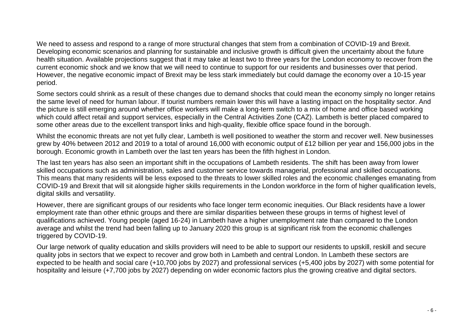We need to assess and respond to a range of more structural changes that stem from a combination of COVID-19 and Brexit. Developing economic scenarios and planning for sustainable and inclusive growth is difficult given the uncertainty about the future health situation. Available projections suggest that it may take at least two to three years for the London economy to recover from the current economic shock and we know that we will need to continue to support for our residents and businesses over that period. However, the negative economic impact of Brexit may be less stark immediately but could damage the economy over a 10-15 year period.

Some sectors could shrink as a result of these changes due to demand shocks that could mean the economy simply no longer retains the same level of need for human labour. If tourist numbers remain lower this will have a lasting impact on the hospitality sector. And the picture is still emerging around whether office workers will make a long-term switch to a mix of home and office based working which could affect retail and support services, especially in the Central Activities Zone (CAZ). Lambeth is better placed compared to some other areas due to the excellent transport links and high-quality, flexible office space found in the borough.

Whilst the economic threats are not yet fully clear, Lambeth is well positioned to weather the storm and recover well. New businesses grew by 40% between 2012 and 2019 to a total of around 16,000 with economic output of £12 billion per year and 156,000 jobs in the borough. Economic growth in Lambeth over the last ten years has been the fifth highest in London.

The last ten years has also seen an important shift in the occupations of Lambeth residents. The shift has been away from lower skilled occupations such as administration, sales and customer service towards managerial, professional and skilled occupations. This means that many residents will be less exposed to the threats to lower skilled roles and the economic challenges emanating from COVID-19 and Brexit that will sit alongside higher skills requirements in the London workforce in the form of higher qualification levels. digital skills and versatility.

However, there are significant groups of our residents who face longer term economic inequities. Our Black residents have a lower employment rate than other ethnic groups and there are similar disparities between these groups in terms of highest level of qualifications achieved. Young people (aged 16-24) in Lambeth have a higher unemployment rate than compared to the London average and whilst the trend had been falling up to January 2020 this group is at significant risk from the economic challenges triggered by COVID-19.

Our large network of quality education and skills providers will need to be able to support our residents to upskill, reskill and secure quality jobs in sectors that we expect to recover and grow both in Lambeth and central London. In Lambeth these sectors are expected to be health and social care (+10,700 jobs by 2027) and professional services (+5,400 jobs by 2027) with some potential for hospitality and leisure (+7,700 jobs by 2027) depending on wider economic factors plus the growing creative and digital sectors.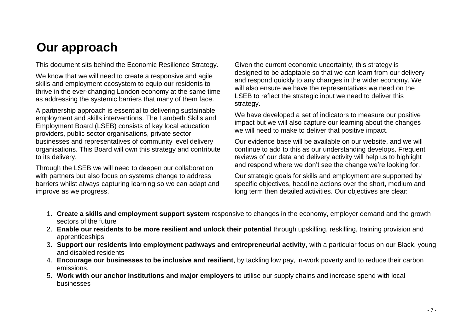# <span id="page-6-0"></span>**Our approach**

This document sits behind the Economic Resilience Strategy.

We know that we will need to create a responsive and agile skills and employment ecosystem to equip our residents to thrive in the ever-changing London economy at the same time as addressing the systemic barriers that many of them face.

A partnership approach is essential to delivering sustainable employment and skills interventions. The Lambeth Skills and Employment Board (LSEB) consists of key local education providers, public sector organisations, private sector businesses and representatives of community level delivery organisations. This Board will own this strategy and contribute to its delivery.

Through the LSEB we will need to deepen our collaboration with partners but also focus on systems change to address barriers whilst always capturing learning so we can adapt and improve as we progress.

Given the current economic uncertainty, this strategy is designed to be adaptable so that we can learn from our delivery and respond quickly to any changes in the wider economy. We will also ensure we have the representatives we need on the LSEB to reflect the strategic input we need to deliver this strategy.

We have developed a set of indicators to measure our positive impact but we will also capture our learning about the changes we will need to make to deliver that positive impact.

Our evidence base will be available on our website, and we will continue to add to this as our understanding develops. Frequent reviews of our data and delivery activity will help us to highlight and respond where we don't see the change we're looking for.

Our strategic goals for skills and employment are supported by specific objectives, headline actions over the short, medium and long term then detailed activities. Our objectives are clear:

- 1. **Create a skills and employment support system** responsive to changes in the economy, employer demand and the growth sectors of the future
- 2. **Enable our residents to be more resilient and unlock their potential** through upskilling, reskilling, training provision and apprenticeships
- 3. **Support our residents into employment pathways and entrepreneurial activity**, with a particular focus on our Black, young and disabled residents
- 4. **Encourage our businesses to be inclusive and resilient**, by tackling low pay, in-work poverty and to reduce their carbon emissions.
- 5. **Work with our anchor institutions and major employers** to utilise our supply chains and increase spend with local businesses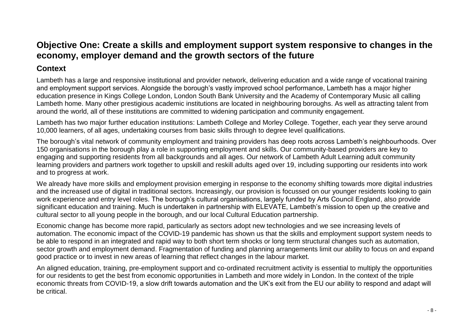### <span id="page-7-0"></span>**Objective One: Create a skills and employment support system responsive to changes in the economy, employer demand and the growth sectors of the future**

#### **Context**

Lambeth has a large and responsive institutional and provider network, delivering education and a wide range of vocational training and employment support services. Alongside the borough's vastly improved school performance, Lambeth has a major higher education presence in Kings College London, London South Bank University and the Academy of Contemporary Music all calling Lambeth home. Many other prestigious academic institutions are located in neighbouring boroughs. As well as attracting talent from around the world, all of these institutions are committed to widening participation and community engagement.

Lambeth has two major further education institutions: Lambeth College and Morley College. Together, each year they serve around 10,000 learners, of all ages, undertaking courses from basic skills through to degree level qualifications.

The borough's vital network of community employment and training providers has deep roots across Lambeth's neighbourhoods. Over 150 organisations in the borough play a role in supporting employment and skills. Our community-based providers are key to engaging and supporting residents from all backgrounds and all ages. Our network of Lambeth Adult Learning adult community learning providers and partners work together to upskill and reskill adults aged over 19, including supporting our residents into work and to progress at work.

We already have more skills and employment provision emerging in response to the economy shifting towards more digital industries and the increased use of digital in traditional sectors. Increasingly, our provision is focussed on our younger residents looking to gain work experience and entry level roles. The borough's cultural organisations, largely funded by Arts Council England, also provide significant education and training. Much is undertaken in partnership with ELEVATE, Lambeth's mission to open up the creative and cultural sector to all young people in the borough, and our local Cultural Education partnership.

Economic change has become more rapid, particularly as sectors adopt new technologies and we see increasing levels of automation. The economic impact of the COVID-19 pandemic has shown us that the skills and employment support system needs to be able to respond in an integrated and rapid way to both short term shocks or long term structural changes such as automation, sector growth and employment demand. Fragmentation of funding and planning arrangements limit our ability to focus on and expand good practice or to invest in new areas of learning that reflect changes in the labour market.

An aligned education, training, pre-employment support and co-ordinated recruitment activity is essential to multiply the opportunities for our residents to get the best from economic opportunities in Lambeth and more widely in London. In the context of the triple economic threats from COVID-19, a slow drift towards automation and the UK's exit from the EU our ability to respond and adapt will be critical.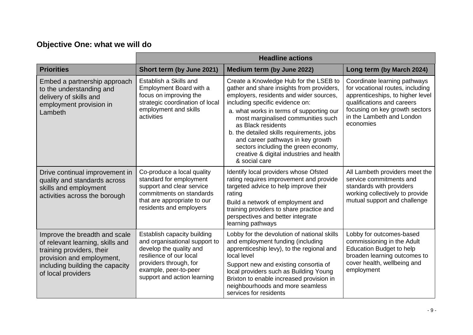## **Objective One: what we will do**

|                                                                                                                                                                                      | <b>Headline actions</b>                                                                                                                                                                              |                                                                                                                                                                                                                                                                                                                                                                                                                                                                  |                                                                                                                                                                                                                |
|--------------------------------------------------------------------------------------------------------------------------------------------------------------------------------------|------------------------------------------------------------------------------------------------------------------------------------------------------------------------------------------------------|------------------------------------------------------------------------------------------------------------------------------------------------------------------------------------------------------------------------------------------------------------------------------------------------------------------------------------------------------------------------------------------------------------------------------------------------------------------|----------------------------------------------------------------------------------------------------------------------------------------------------------------------------------------------------------------|
| <b>Priorities</b>                                                                                                                                                                    | Short term (by June 2021)                                                                                                                                                                            | Medium term (by June 2022)                                                                                                                                                                                                                                                                                                                                                                                                                                       | Long term (by March 2024)                                                                                                                                                                                      |
| Embed a partnership approach<br>to the understanding and<br>delivery of skills and<br>employment provision in<br>Lambeth                                                             | Establish a Skills and<br>Employment Board with a<br>focus on improving the<br>strategic coordination of local<br>employment and skills<br>activities                                                | Create a Knowledge Hub for the LSEB to<br>gather and share insights from providers,<br>employers, residents and wider sources,<br>including specific evidence on:<br>a. what works in terms of supporting our<br>most marginalised communities such<br>as Black residents<br>b. the detailed skills requirements, jobs<br>and career pathways in key growth<br>sectors including the green economy,<br>creative & digital industries and health<br>& social care | Coordinate learning pathways<br>for vocational routes, including<br>apprenticeships, to higher level<br>qualifications and careers<br>focusing on key growth sectors<br>in the Lambeth and London<br>economies |
| Drive continual improvement in<br>quality and standards across<br>skills and employment<br>activities across the borough                                                             | Co-produce a local quality<br>standard for employment<br>support and clear service<br>commitments on standards<br>that are appropriate to our<br>residents and employers                             | Identify local providers whose Ofsted<br>rating requires improvement and provide<br>targeted advice to help improve their<br>rating<br>Build a network of employment and<br>training providers to share practice and<br>perspectives and better integrate<br>learning pathways                                                                                                                                                                                   | All Lambeth providers meet the<br>service commitments and<br>standards with providers<br>working collectively to provide<br>mutual support and challenge                                                       |
| Improve the breadth and scale<br>of relevant learning, skills and<br>training providers, their<br>provision and employment,<br>including building the capacity<br>of local providers | Establish capacity building<br>and organisational support to<br>develop the quality and<br>resilience of our local<br>providers through, for<br>example, peer-to-peer<br>support and action learning | Lobby for the devolution of national skills<br>and employment funding (including<br>apprenticeship levy), to the regional and<br>local level<br>Support new and existing consortia of<br>local providers such as Building Young<br>Brixton to enable increased provision in<br>neighbourhoods and more seamless<br>services for residents                                                                                                                        | Lobby for outcomes-based<br>commissioning in the Adult<br>Education Budget to help<br>broaden learning outcomes to<br>cover health, wellbeing and<br>employment                                                |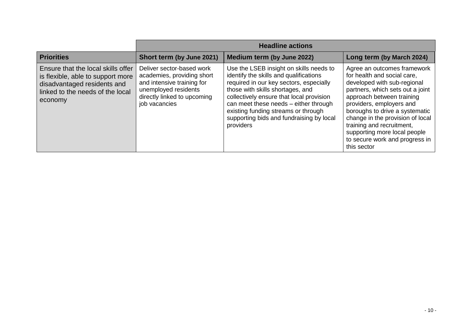|                                                                                                                                                       | <b>Headline actions</b>                                                                                                                                       |                                                                                                                                                                                                                                                                                                                                                       |                                                                                                                                                                                                                                                                                                                                                                            |
|-------------------------------------------------------------------------------------------------------------------------------------------------------|---------------------------------------------------------------------------------------------------------------------------------------------------------------|-------------------------------------------------------------------------------------------------------------------------------------------------------------------------------------------------------------------------------------------------------------------------------------------------------------------------------------------------------|----------------------------------------------------------------------------------------------------------------------------------------------------------------------------------------------------------------------------------------------------------------------------------------------------------------------------------------------------------------------------|
| <b>Priorities</b>                                                                                                                                     | Short term (by June 2021)                                                                                                                                     | Medium term (by June 2022)                                                                                                                                                                                                                                                                                                                            | Long term (by March 2024)                                                                                                                                                                                                                                                                                                                                                  |
| Ensure that the local skills offer<br>is flexible, able to support more<br>disadvantaged residents and<br>linked to the needs of the local<br>economy | Deliver sector-based work<br>academies, providing short<br>and intensive training for<br>unemployed residents<br>directly linked to upcoming<br>job vacancies | Use the LSEB insight on skills needs to<br>identify the skills and qualifications<br>required in our key sectors, especially<br>those with skills shortages, and<br>collectively ensure that local provision<br>can meet these needs - either through<br>existing funding streams or through<br>supporting bids and fundraising by local<br>providers | Agree an outcomes framework<br>for health and social care.<br>developed with sub-regional<br>partners, which sets out a joint<br>approach between training<br>providers, employers and<br>boroughs to drive a systematic<br>change in the provision of local<br>training and recruitment,<br>supporting more local people<br>to secure work and progress in<br>this sector |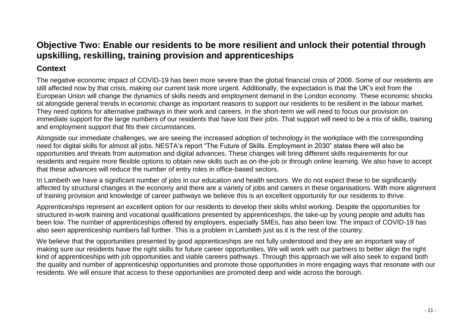### <span id="page-10-0"></span>**Objective Two: Enable our residents to be more resilient and unlock their potential through upskilling, reskilling, training provision and apprenticeships**

#### **Context**

The negative economic impact of COVID-19 has been more severe than the global financial crisis of 2008. Some of our residents are still affected now by that crisis, making our current task more urgent. Additionally, the expectation is that the UK's exit from the European Union will change the dynamics of skills needs and employment demand in the London economy. These economic shocks sit alongside general trends in economic change as important reasons to support our residents to be resilient in the labour market. They need options for alternative pathways in their work and careers. In the short-term we will need to focus our provision on immediate support for the large numbers of our residents that have lost their jobs. That support will need to be a mix of skills, training and employment support that fits their circumstances.

Alongside our immediate challenges, we are seeing the increased adoption of technology in the workplace with the corresponding need for digital skills for almost all jobs. NESTA's report "The Future of Skills. Employment in 2030" states there will also be opportunities and threats from automation and digital advances. These changes will bring different skills requirements for our residents and require more flexible options to obtain new skills such as on-the-job or through online learning. We also have to accept that these advances will reduce the number of entry roles in office-based sectors.

In Lambeth we have a significant number of jobs in our education and health sectors. We do not expect these to be significantly affected by structural changes in the economy and there are a variety of jobs and careers in these organisations. With more alignment of training provision and knowledge of career pathways we believe this is an excellent opportunity for our residents to thrive.

Apprenticeships represent an excellent option for our residents to develop their skills whilst working. Despite the opportunities for structured in-work training and vocational qualifications presented by apprenticeships, the take-up by young people and adults has been low. The number of apprenticeships offered by employers, especially SMEs, has also been low. The impact of COVID-19 has also seen apprenticeship numbers fall further. This is a problem in Lambeth just as it is the rest of the country.

We believe that the opportunities presented by good apprenticeships are not fully understood and they are an important way of making sure our residents have the right skills for future career opportunities. We will work with our partners to better align the right kind of apprenticeships with job opportunities and viable careers pathways. Through this approach we will also seek to expand both the quality and number of apprenticeship opportunities and promote those opportunities in more engaging ways that resonate with our residents. We will ensure that access to these opportunities are promoted deep and wide across the borough.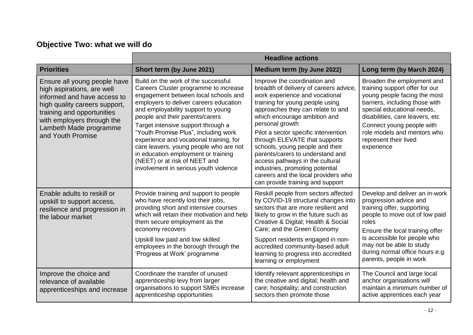## **Objective Two: what we will do**

|                                                                                                                                                                                                                                       | <b>Headline actions</b>                                                                                                                                                                                                                                                                                                                                                                                                                                                                                                     |                                                                                                                                                                                                                                                                                                                                                                                                                                                                                                                                      |                                                                                                                                                                                                                                                                                                    |
|---------------------------------------------------------------------------------------------------------------------------------------------------------------------------------------------------------------------------------------|-----------------------------------------------------------------------------------------------------------------------------------------------------------------------------------------------------------------------------------------------------------------------------------------------------------------------------------------------------------------------------------------------------------------------------------------------------------------------------------------------------------------------------|--------------------------------------------------------------------------------------------------------------------------------------------------------------------------------------------------------------------------------------------------------------------------------------------------------------------------------------------------------------------------------------------------------------------------------------------------------------------------------------------------------------------------------------|----------------------------------------------------------------------------------------------------------------------------------------------------------------------------------------------------------------------------------------------------------------------------------------------------|
| <b>Priorities</b>                                                                                                                                                                                                                     | Short term (by June 2021)                                                                                                                                                                                                                                                                                                                                                                                                                                                                                                   | Medium term (by June 2022)                                                                                                                                                                                                                                                                                                                                                                                                                                                                                                           | Long term (by March 2024)                                                                                                                                                                                                                                                                          |
| Ensure all young people have<br>high aspirations, are well<br>informed and have access to<br>high quality careers support,<br>training and opportunities<br>with employers through the<br>Lambeth Made programme<br>and Youth Promise | Build on the work of the successful<br>Careers Cluster programme to increase<br>engagement between local schools and<br>employers to deliver careers education<br>and employability support to young<br>people and their parents/carers<br>Target intensive support through a<br>"Youth Promise Plus", including work<br>experience and vocational training, for<br>care leavers, young people who are not<br>in education employment or training<br>(NEET) or at risk of NEET and<br>involvement in serious youth violence | Improve the coordination and<br>breadth of delivery of careers advice,<br>work experience and vocational<br>training for young people using<br>approaches they can relate to and<br>which encourage ambition and<br>personal growth<br>Pilot a sector specific intervention<br>through ELEVATE that supports<br>schools, young people and their<br>parents/carers to understand and<br>access pathways in the cultural<br>industries, promoting potential<br>careers and the local providers who<br>can provide training and support | Broaden the employment and<br>training support offer for our<br>young people facing the most<br>barriers, including those with<br>special educational needs,<br>disabilities, care leavers, etc<br>Connect young people with<br>role models and mentors who<br>represent their lived<br>experience |
| Enable adults to reskill or<br>upskill to support access,<br>resilience and progression in<br>the labour market                                                                                                                       | Provide training and support to people<br>who have recently lost their jobs,<br>providing short and intensive courses<br>which will retain their motivation and help<br>them secure employment as the<br>economy recovers<br>Upskill low paid and low skilled<br>employees in the borough through the<br>'Progress at Work' programme                                                                                                                                                                                       | Reskill people from sectors affected<br>by COVID-19 structural changes into<br>sectors that are more resilient and<br>likely to grow in the future such as<br>Creative & Digital; Health & Social<br>Care; and the Green Economy<br>Support residents engaged in non-<br>accredited community-based adult<br>learning to progress into accredited<br>learning or employment                                                                                                                                                          | Develop and deliver an in-work<br>progression advice and<br>training offer, supporting<br>people to move out of low paid<br>roles<br>Ensure the local training offer<br>is accessible for people who<br>may not be able to study<br>during normal office hours e.g.<br>parents, people in work     |
| Improve the choice and<br>relevance of available<br>apprenticeships and increase                                                                                                                                                      | Coordinate the transfer of unused<br>apprenticeship levy from larger<br>organisations to support SMEs increase<br>apprenticeship opportunities                                                                                                                                                                                                                                                                                                                                                                              | Identify relevant apprenticeships in<br>the creative and digital; health and<br>care; hospitality; and construction<br>sectors then promote those                                                                                                                                                                                                                                                                                                                                                                                    | The Council and large local<br>anchor organisations will<br>maintain a minimum number of<br>active apprentices each year                                                                                                                                                                           |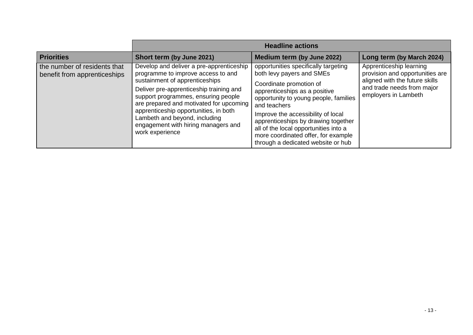|                                                              |                                                                                                                                                                                                                                                                                                                                                                                   | <b>Headline actions</b>                                                                                                                                                                                                                                                                                                                                                                   |                                                                                                                                                    |
|--------------------------------------------------------------|-----------------------------------------------------------------------------------------------------------------------------------------------------------------------------------------------------------------------------------------------------------------------------------------------------------------------------------------------------------------------------------|-------------------------------------------------------------------------------------------------------------------------------------------------------------------------------------------------------------------------------------------------------------------------------------------------------------------------------------------------------------------------------------------|----------------------------------------------------------------------------------------------------------------------------------------------------|
| <b>Priorities</b>                                            | Short term (by June 2021)                                                                                                                                                                                                                                                                                                                                                         | Medium term (by June 2022)                                                                                                                                                                                                                                                                                                                                                                | Long term (by March 2024)                                                                                                                          |
| the number of residents that<br>benefit from apprenticeships | Develop and deliver a pre-apprenticeship<br>programme to improve access to and<br>sustainment of apprenticeships<br>Deliver pre-apprenticeship training and<br>support programmes, ensuring people<br>are prepared and motivated for upcoming<br>apprenticeship opportunities, in both<br>Lambeth and beyond, including<br>engagement with hiring managers and<br>work experience | opportunities specifically targeting<br>both levy payers and SMEs<br>Coordinate promotion of<br>apprenticeships as a positive<br>opportunity to young people, families<br>and teachers<br>Improve the accessibility of local<br>apprenticeships by drawing together<br>all of the local opportunities into a<br>more coordinated offer, for example<br>through a dedicated website or hub | Apprenticeship learning<br>provision and opportunities are<br>aligned with the future skills<br>and trade needs from major<br>employers in Lambeth |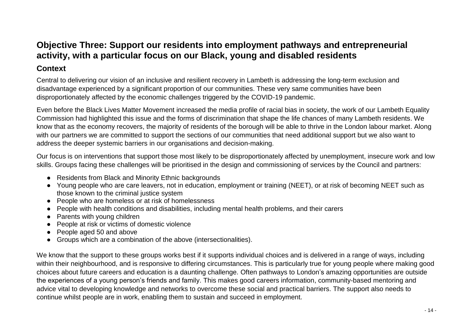## <span id="page-13-0"></span>**Objective Three: Support our residents into employment pathways and entrepreneurial activity, with a particular focus on our Black, young and disabled residents**

#### **Context**

Central to delivering our vision of an inclusive and resilient recovery in Lambeth is addressing the long-term exclusion and disadvantage experienced by a significant proportion of our communities. These very same communities have been disproportionately affected by the economic challenges triggered by the COVID-19 pandemic.

Even before the Black Lives Matter Movement increased the media profile of racial bias in society, the work of our Lambeth Equality Commission had highlighted this issue and the forms of discrimination that shape the life chances of many Lambeth residents. We know that as the economy recovers, the majority of residents of the borough will be able to thrive in the London labour market. Along with our partners we are committed to support the sections of our communities that need additional support but we also want to address the deeper systemic barriers in our organisations and decision-making.

Our focus is on interventions that support those most likely to be disproportionately affected by unemployment, insecure work and low skills. Groups facing these challenges will be prioritised in the design and commissioning of services by the Council and partners:

- Residents from Black and Minority Ethnic backgrounds
- Young people who are care leavers, not in education, employment or training (NEET), or at risk of becoming NEET such as those known to the criminal justice system
- People who are homeless or at risk of homelessness
- People with health conditions and disabilities, including mental health problems, and their carers
- Parents with young children
- People at risk or victims of domestic violence
- People aged 50 and above
- Groups which are a combination of the above (intersectionalities).

We know that the support to these groups works best if it supports individual choices and is delivered in a range of ways, including within their neighbourhood, and is responsive to differing circumstances. This is particularly true for young people where making good choices about future careers and education is a daunting challenge. Often pathways to London's amazing opportunities are outside the experiences of a young person's friends and family. This makes good careers information, community-based mentoring and advice vital to developing knowledge and networks to overcome these social and practical barriers. The support also needs to continue whilst people are in work, enabling them to sustain and succeed in employment.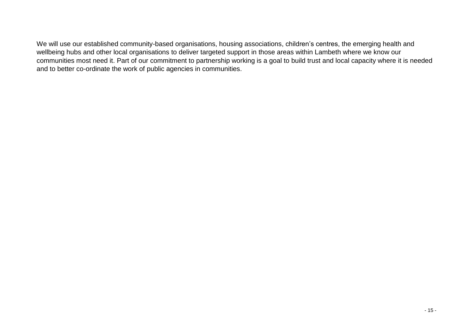We will use our established community-based organisations, housing associations, children's centres, the emerging health and wellbeing hubs and other local organisations to deliver targeted support in those areas within Lambeth where we know our communities most need it. Part of our commitment to partnership working is a goal to build trust and local capacity where it is needed and to better co-ordinate the work of public agencies in communities.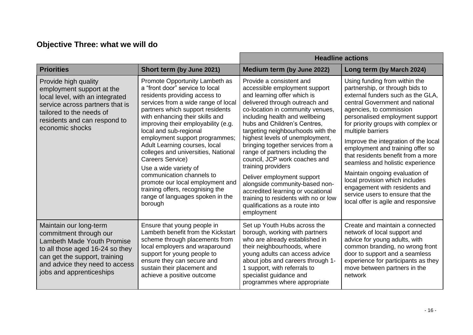## **Objective Three: what we will do**

|                                                                                                                                                                                                                         |                                                                                                                                                                                                                                                                                                                                                                                                                                                                                                                                                                                              |                                                                                                                                                                                                                                                                                                                                                                                                                                                                                                                                                                                                                                      | <b>Headline actions</b>                                                                                                                                                                                                                                                                                                                                                                                                                                                                                                                                                                                  |
|-------------------------------------------------------------------------------------------------------------------------------------------------------------------------------------------------------------------------|----------------------------------------------------------------------------------------------------------------------------------------------------------------------------------------------------------------------------------------------------------------------------------------------------------------------------------------------------------------------------------------------------------------------------------------------------------------------------------------------------------------------------------------------------------------------------------------------|--------------------------------------------------------------------------------------------------------------------------------------------------------------------------------------------------------------------------------------------------------------------------------------------------------------------------------------------------------------------------------------------------------------------------------------------------------------------------------------------------------------------------------------------------------------------------------------------------------------------------------------|----------------------------------------------------------------------------------------------------------------------------------------------------------------------------------------------------------------------------------------------------------------------------------------------------------------------------------------------------------------------------------------------------------------------------------------------------------------------------------------------------------------------------------------------------------------------------------------------------------|
| <b>Priorities</b>                                                                                                                                                                                                       | Short term (by June 2021)                                                                                                                                                                                                                                                                                                                                                                                                                                                                                                                                                                    | Medium term (by June 2022)                                                                                                                                                                                                                                                                                                                                                                                                                                                                                                                                                                                                           | Long term (by March 2024)                                                                                                                                                                                                                                                                                                                                                                                                                                                                                                                                                                                |
| Provide high quality<br>employment support at the<br>local level, with an integrated<br>service across partners that is<br>tailored to the needs of<br>residents and can respond to<br>economic shocks                  | Promote Opportunity Lambeth as<br>a "front door" service to local<br>residents providing access to<br>services from a wide range of local<br>partners which support residents<br>with enhancing their skills and<br>improving their employability (e.g.<br>local and sub-regional<br>employment support programmes;<br>Adult Learning courses, local<br>colleges and universities, National<br>Careers Service)<br>Use a wide variety of<br>communication channels to<br>promote our local employment and<br>training offers, recognising the<br>range of languages spoken in the<br>borough | Provide a consistent and<br>accessible employment support<br>and learning offer which is<br>delivered through outreach and<br>co-location in community venues,<br>including health and wellbeing<br>hubs and Children's Centres,<br>targeting neighbourhoods with the<br>highest levels of unemployment,<br>bringing together services from a<br>range of partners including the<br>council, JCP work coaches and<br>training providers<br>Deliver employment support<br>alongside community-based non-<br>accredited learning or vocational<br>training to residents with no or low<br>qualifications as a route into<br>employment | Using funding from within the<br>partnership, or through bids to<br>external funders such as the GLA,<br>central Government and national<br>agencies, to commission<br>personalised employment support<br>for priority groups with complex or<br>multiple barriers<br>Improve the integration of the local<br>employment and training offer so<br>that residents benefit from a more<br>seamless and holistic experience<br>Maintain ongoing evaluation of<br>local provision which includes<br>engagement with residents and<br>service users to ensure that the<br>local offer is agile and responsive |
| Maintain our long-term<br>commitment through our<br><b>Lambeth Made Youth Promise</b><br>to all those aged 16-24 so they<br>can get the support, training<br>and advice they need to access<br>jobs and apprenticeships | Ensure that young people in<br>Lambeth benefit from the Kickstart<br>scheme through placements from<br>local employers and wraparound<br>support for young people to<br>ensure they can secure and<br>sustain their placement and<br>achieve a positive outcome                                                                                                                                                                                                                                                                                                                              | Set up Youth Hubs across the<br>borough, working with partners<br>who are already established in<br>their neighbourhoods, where<br>young adults can access advice<br>about jobs and careers through 1-<br>1 support, with referrals to<br>specialist guidance and<br>programmes where appropriate                                                                                                                                                                                                                                                                                                                                    | Create and maintain a connected<br>network of local support and<br>advice for young adults, with<br>common branding, no wrong front<br>door to support and a seamless<br>experience for participants as they<br>move between partners in the<br>network                                                                                                                                                                                                                                                                                                                                                  |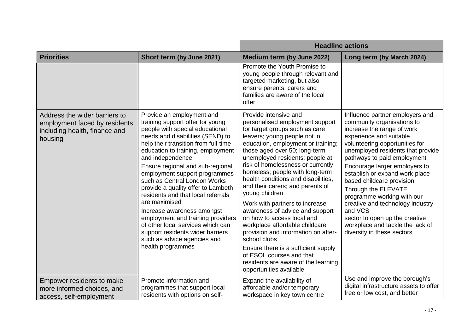|                                                                                                            |                                                                                                                                                                                                                                                                                                                                                                                                                                                                                                                                                                                                                                         |                                                                                                                                                                                                                                                                                                                                                                                                                                                                                                                                                                                                                                                                                                                                            | <b>Headline actions</b>                                                                                                                                                                                                                                                                                                                                                                                                                                                                                                              |
|------------------------------------------------------------------------------------------------------------|-----------------------------------------------------------------------------------------------------------------------------------------------------------------------------------------------------------------------------------------------------------------------------------------------------------------------------------------------------------------------------------------------------------------------------------------------------------------------------------------------------------------------------------------------------------------------------------------------------------------------------------------|--------------------------------------------------------------------------------------------------------------------------------------------------------------------------------------------------------------------------------------------------------------------------------------------------------------------------------------------------------------------------------------------------------------------------------------------------------------------------------------------------------------------------------------------------------------------------------------------------------------------------------------------------------------------------------------------------------------------------------------------|--------------------------------------------------------------------------------------------------------------------------------------------------------------------------------------------------------------------------------------------------------------------------------------------------------------------------------------------------------------------------------------------------------------------------------------------------------------------------------------------------------------------------------------|
| <b>Priorities</b>                                                                                          | Short term (by June 2021)                                                                                                                                                                                                                                                                                                                                                                                                                                                                                                                                                                                                               | Medium term (by June 2022)                                                                                                                                                                                                                                                                                                                                                                                                                                                                                                                                                                                                                                                                                                                 | Long term (by March 2024)                                                                                                                                                                                                                                                                                                                                                                                                                                                                                                            |
|                                                                                                            |                                                                                                                                                                                                                                                                                                                                                                                                                                                                                                                                                                                                                                         | Promote the Youth Promise to<br>young people through relevant and<br>targeted marketing, but also<br>ensure parents, carers and<br>families are aware of the local<br>offer                                                                                                                                                                                                                                                                                                                                                                                                                                                                                                                                                                |                                                                                                                                                                                                                                                                                                                                                                                                                                                                                                                                      |
| Address the wider barriers to<br>employment faced by residents<br>including health, finance and<br>housing | Provide an employment and<br>training support offer for young<br>people with special educational<br>needs and disabilities (SEND) to<br>help their transition from full-time<br>education to training, employment<br>and independence<br>Ensure regional and sub-regional<br>employment support programmes<br>such as Central London Works<br>provide a quality offer to Lambeth<br>residents and that local referrals<br>are maximised<br>Increase awareness amongst<br>employment and training providers<br>of other local services which can<br>support residents wider barriers<br>such as advice agencies and<br>health programmes | Provide intensive and<br>personalised employment support<br>for target groups such as care<br>leavers; young people not in<br>education, employment or training;<br>those aged over 50; long-term<br>unemployed residents; people at<br>risk of homelessness or currently<br>homeless; people with long-term<br>health conditions and disabilities,<br>and their carers; and parents of<br>young children<br>Work with partners to increase<br>awareness of advice and support<br>on how to access local and<br>workplace affordable childcare<br>provision and information on after-<br>school clubs<br>Ensure there is a sufficient supply<br>of ESOL courses and that<br>residents are aware of the learning<br>opportunities available | Influence partner employers and<br>community organisations to<br>increase the range of work<br>experience and suitable<br>volunteering opportunities for<br>unemployed residents that provide<br>pathways to paid employment<br>Encourage larger employers to<br>establish or expand work-place<br>based childcare provision<br>Through the ELEVATE<br>programme working with our<br>creative and technology industry<br>and VCS<br>sector to open up the creative<br>workplace and tackle the lack of<br>diversity in these sectors |
| Empower residents to make<br>more informed choices, and<br>access, self-employment                         | Promote information and<br>programmes that support local<br>residents with options on self-                                                                                                                                                                                                                                                                                                                                                                                                                                                                                                                                             | Expand the availability of<br>affordable and/or temporary<br>workspace in key town centre                                                                                                                                                                                                                                                                                                                                                                                                                                                                                                                                                                                                                                                  | Use and improve the borough's<br>digital infrastructure assets to offer<br>free or low cost, and better                                                                                                                                                                                                                                                                                                                                                                                                                              |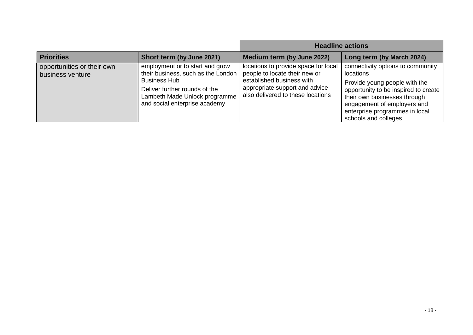|                                                |                                                                                                                                                                                                 |                                                                                                                                                                           | <b>Headline actions</b>                                                                                                                                                                                                                          |
|------------------------------------------------|-------------------------------------------------------------------------------------------------------------------------------------------------------------------------------------------------|---------------------------------------------------------------------------------------------------------------------------------------------------------------------------|--------------------------------------------------------------------------------------------------------------------------------------------------------------------------------------------------------------------------------------------------|
| <b>Priorities</b>                              | Short term (by June 2021)                                                                                                                                                                       | Medium term (by June 2022)                                                                                                                                                | Long term (by March 2024)                                                                                                                                                                                                                        |
| opportunities or their own<br>business venture | employment or to start and grow<br>their business, such as the London<br><b>Business Hub</b><br>Deliver further rounds of the<br>Lambeth Made Unlock programme<br>and social enterprise academy | locations to provide space for local<br>people to locate their new or<br>established business with<br>appropriate support and advice<br>also delivered to these locations | connectivity options to community<br>locations<br>Provide young people with the<br>opportunity to be inspired to create<br>their own businesses through<br>engagement of employers and<br>enterprise programmes in local<br>schools and colleges |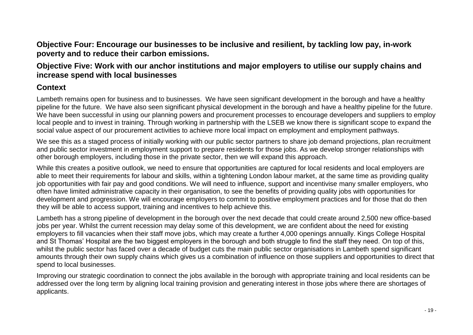<span id="page-18-0"></span>**Objective Four: Encourage our businesses to be inclusive and resilient, by tackling low pay, in-work poverty and to reduce their carbon emissions.** 

#### <span id="page-18-1"></span>**Objective Five: Work with our anchor institutions and major employers to utilise our supply chains and increase spend with local businesses**

#### **Context**

Lambeth remains open for business and to businesses. We have seen significant development in the borough and have a healthy pipeline for the future. We have also seen significant physical development in the borough and have a healthy pipeline for the future. We have been successful in using our planning powers and procurement processes to encourage developers and suppliers to employ local people and to invest in training. Through working in partnership with the LSEB we know there is significant scope to expand the social value aspect of our procurement activities to achieve more local impact on employment and employment pathways.

We see this as a staged process of initially working with our public sector partners to share job demand projections, plan recruitment and public sector investment in employment support to prepare residents for those jobs. As we develop stronger relationships with other borough employers, including those in the private sector, then we will expand this approach.

While this creates a positive outlook, we need to ensure that opportunities are captured for local residents and local employers are able to meet their requirements for labour and skills, within a tightening London labour market, at the same time as providing quality job opportunities with fair pay and good conditions. We will need to influence, support and incentivise many smaller employers, who often have limited administrative capacity in their organisation, to see the benefits of providing quality jobs with opportunities for development and progression. We will encourage employers to commit to positive employment practices and for those that do then they will be able to access support, training and incentives to help achieve this.

Lambeth has a strong pipeline of development in the borough over the next decade that could create around 2,500 new office-based jobs per year. Whilst the current recession may delay some of this development, we are confident about the need for existing employers to fill vacancies when their staff move jobs, which may create a further 4,000 openings annually. Kings College Hospital and St Thomas' Hospital are the two biggest employers in the borough and both struggle to find the staff they need. On top of this, whilst the public sector has faced over a decade of budget cuts the main public sector organisations in Lambeth spend significant amounts through their own supply chains which gives us a combination of influence on those suppliers and opportunities to direct that spend to local businesses.

Improving our strategic coordination to connect the jobs available in the borough with appropriate training and local residents can be addressed over the long term by aligning local training provision and generating interest in those jobs where there are shortages of applicants.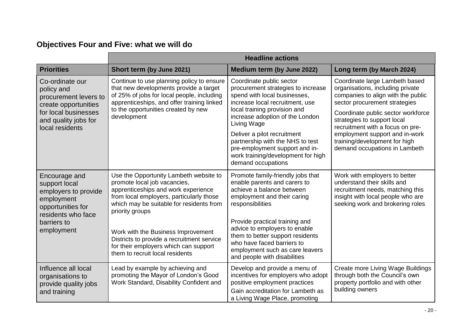## **Objectives Four and Five: what we will do**

|                                                                                                                                                   | <b>Headline actions</b>                                                                                                                                                                                                                                                                                                                                                                  |                                                                                                                                                                                                                                                                                                                                                                                      |                                                                                                                                                                                                                                                                                                                                                        |
|---------------------------------------------------------------------------------------------------------------------------------------------------|------------------------------------------------------------------------------------------------------------------------------------------------------------------------------------------------------------------------------------------------------------------------------------------------------------------------------------------------------------------------------------------|--------------------------------------------------------------------------------------------------------------------------------------------------------------------------------------------------------------------------------------------------------------------------------------------------------------------------------------------------------------------------------------|--------------------------------------------------------------------------------------------------------------------------------------------------------------------------------------------------------------------------------------------------------------------------------------------------------------------------------------------------------|
| <b>Priorities</b>                                                                                                                                 | Short term (by June 2021)                                                                                                                                                                                                                                                                                                                                                                | Medium term (by June 2022)                                                                                                                                                                                                                                                                                                                                                           | Long term (by March 2024)                                                                                                                                                                                                                                                                                                                              |
| Co-ordinate our<br>policy and<br>procurement levers to<br>create opportunities<br>for local businesses<br>and quality jobs for<br>local residents | Continue to use planning policy to ensure<br>that new developments provide a target<br>of 25% of jobs for local people, including<br>apprenticeships, and offer training linked<br>to the opportunities created by new<br>development                                                                                                                                                    | Coordinate public sector<br>procurement strategies to increase<br>spend with local businesses,<br>increase local recruitment, use<br>local training provision and<br>increase adoption of the London<br>Living Wage<br>Deliver a pilot recruitment<br>partnership with the NHS to test<br>pre-employment support and in-<br>work training/development for high<br>demand occupations | Coordinate large Lambeth based<br>organisations, including private<br>companies to align with the public<br>sector procurement strategies<br>Coordinate public sector workforce<br>strategies to support local<br>recruitment with a focus on pre-<br>employment support and in-work<br>training/development for high<br>demand occupations in Lambeth |
| Encourage and<br>support local<br>employers to provide<br>employment<br>opportunities for<br>residents who face<br>barriers to<br>employment      | Use the Opportunity Lambeth website to<br>promote local job vacancies,<br>apprenticeships and work experience<br>from local employers, particularly those<br>which may be suitable for residents from<br>priority groups<br>Work with the Business Improvement<br>Districts to provide a recruitment service<br>for their employers which can support<br>them to recruit local residents | Promote family-friendly jobs that<br>enable parents and carers to<br>achieve a balance between<br>employment and their caring<br>responsibilities<br>Provide practical training and<br>advice to employers to enable<br>them to better support residents<br>who have faced barriers to<br>employment such as care leavers<br>and people with disabilities                            | Work with employers to better<br>understand their skills and<br>recruitment needs, matching this<br>insight with local people who are<br>seeking work and brokering roles                                                                                                                                                                              |
| Influence all local<br>organisations to<br>provide quality jobs<br>and training                                                                   | Lead by example by achieving and<br>promoting the Mayor of London's Good<br>Work Standard, Disability Confident and                                                                                                                                                                                                                                                                      | Develop and provide a menu of<br>incentives for employers who adopt<br>positive employment practices<br>Gain accreditation for Lambeth as<br>a Living Wage Place, promoting                                                                                                                                                                                                          | Create more Living Wage Buildings<br>through both the Council's own<br>property portfolio and with other<br>building owners                                                                                                                                                                                                                            |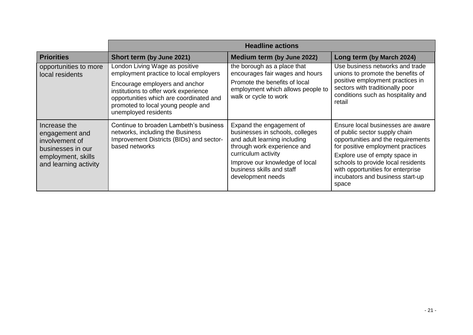|                                                                                                                      | <b>Headline actions</b>                                                                                                                                                                                                                                      |                                                                                                                                                                                                                                       |                                                                                                                                                                                                                                                                                                        |
|----------------------------------------------------------------------------------------------------------------------|--------------------------------------------------------------------------------------------------------------------------------------------------------------------------------------------------------------------------------------------------------------|---------------------------------------------------------------------------------------------------------------------------------------------------------------------------------------------------------------------------------------|--------------------------------------------------------------------------------------------------------------------------------------------------------------------------------------------------------------------------------------------------------------------------------------------------------|
| <b>Priorities</b>                                                                                                    | Short term (by June 2021)                                                                                                                                                                                                                                    | Medium term (by June 2022)                                                                                                                                                                                                            | Long term (by March 2024)                                                                                                                                                                                                                                                                              |
| opportunities to more<br>local residents                                                                             | London Living Wage as positive<br>employment practice to local employers<br>Encourage employers and anchor<br>institutions to offer work experience<br>opportunities which are coordinated and<br>promoted to local young people and<br>unemployed residents | the borough as a place that<br>encourages fair wages and hours<br>Promote the benefits of local<br>employment which allows people to<br>walk or cycle to work                                                                         | Use business networks and trade<br>unions to promote the benefits of<br>positive employment practices in<br>sectors with traditionally poor<br>conditions such as hospitality and<br>retail                                                                                                            |
| Increase the<br>engagement and<br>involvement of<br>businesses in our<br>employment, skills<br>and learning activity | Continue to broaden Lambeth's business<br>networks, including the Business<br>Improvement Districts (BIDs) and sector-<br>based networks                                                                                                                     | Expand the engagement of<br>businesses in schools, colleges<br>and adult learning including<br>through work experience and<br>curriculum activity<br>Improve our knowledge of local<br>business skills and staff<br>development needs | Ensure local businesses are aware<br>of public sector supply chain<br>opportunities and the requirements<br>for positive employment practices<br>Explore use of empty space in<br>schools to provide local residents<br>with opportunities for enterprise<br>incubators and business start-up<br>space |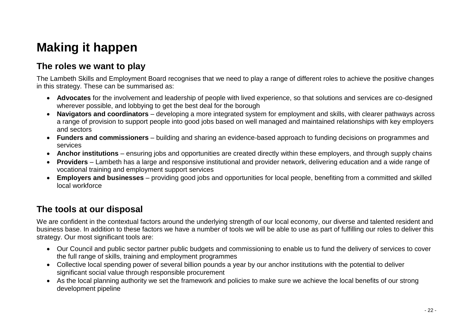# <span id="page-21-0"></span>**Making it happen**

## <span id="page-21-1"></span>**The roles we want to play**

The Lambeth Skills and Employment Board recognises that we need to play a range of different roles to achieve the positive changes in this strategy. These can be summarised as:

- **Advocates** for the involvement and leadership of people with lived experience, so that solutions and services are co-designed wherever possible, and lobbying to get the best deal for the borough
- **Navigators and coordinators** developing a more integrated system for employment and skills, with clearer pathways across a range of provision to support people into good jobs based on well managed and maintained relationships with key employers and sectors
- **Funders and commissioners** building and sharing an evidence-based approach to funding decisions on programmes and services
- **Anchor institutions** ensuring jobs and opportunities are created directly within these employers, and through supply chains
- **Providers** Lambeth has a large and responsive institutional and provider network, delivering education and a wide range of vocational training and employment support services
- **Employers and businesses**  providing good jobs and opportunities for local people, benefiting from a committed and skilled local workforce

## <span id="page-21-2"></span>**The tools at our disposal**

We are confident in the contextual factors around the underlying strength of our local economy, our diverse and talented resident and business base. In addition to these factors we have a number of tools we will be able to use as part of fulfilling our roles to deliver this strategy. Our most significant tools are:

- Our Council and public sector partner public budgets and commissioning to enable us to fund the delivery of services to cover the full range of skills, training and employment programmes
- Collective local spending power of several billion pounds a year by our anchor institutions with the potential to deliver significant social value through responsible procurement
- As the local planning authority we set the framework and policies to make sure we achieve the local benefits of our strong development pipeline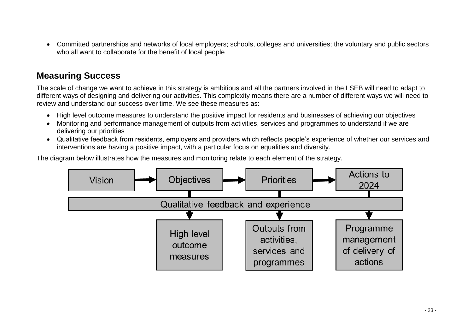Committed partnerships and networks of local employers; schools, colleges and universities; the voluntary and public sectors who all want to collaborate for the benefit of local people

### <span id="page-22-0"></span>**Measuring Success**

The scale of change we want to achieve in this strategy is ambitious and all the partners involved in the LSEB will need to adapt to different ways of designing and delivering our activities. This complexity means there are a number of different ways we will need to review and understand our success over time. We see these measures as:

- High level outcome measures to understand the positive impact for residents and businesses of achieving our objectives
- Monitoring and performance management of outputs from activities, services and programmes to understand if we are delivering our priorities
- Qualitative feedback from residents, employers and providers which reflects people's experience of whether our services and interventions are having a positive impact, with a particular focus on equalities and diversity.

The diagram below illustrates how the measures and monitoring relate to each element of the strategy.